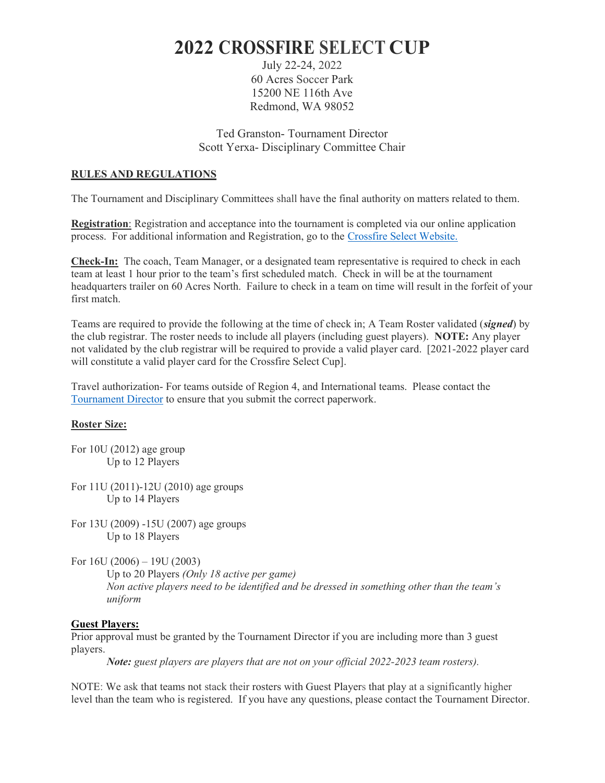# 2022 CROSSFIRE SELECT CUP

July 22-24, 2022 60 Acres Soccer Park 15200 NE 116th Ave Redmond, WA 98052

Ted Granston- Tournament Director Scott Yerxa- Disciplinary Committee Chair

## RULES AND REGULATIONS

The Tournament and Disciplinary Committees shall have the final authority on matters related to them.

Registration: Registration and acceptance into the tournament is completed via our online application process. For additional information and Registration, go to the Crossfire Select Website.

Check-In: The coach, Team Manager, or a designated team representative is required to check in each team at least 1 hour prior to the team's first scheduled match. Check in will be at the tournament headquarters trailer on 60 Acres North. Failure to check in a team on time will result in the forfeit of your first match.

Teams are required to provide the following at the time of check in; A Team Roster validated (signed) by the club registrar. The roster needs to include all players (including guest players). NOTE: Any player not validated by the club registrar will be required to provide a valid player card. [2021-2022 player card will constitute a valid player card for the Crossfire Select Cup].

Travel authorization- For teams outside of Region 4, and International teams. Please contact the Tournament Director to ensure that you submit the correct paperwork.

#### Roster Size:

For 10U (2012) age group Up to 12 Players

For 11U (2011)-12U (2010) age groups Up to 14 Players

For 13U (2009) -15U (2007) age groups Up to 18 Players

For  $16U(2006) - 19U(2003)$ 

Up to 20 Players *(Only 18 active per game)* Non active players need to be identified and be dressed in something other than the team's uniform

#### Guest Players:

Prior approval must be granted by the Tournament Director if you are including more than 3 guest players.

Note: guest players are players that are not on your official 2022-2023 team rosters).

NOTE: We ask that teams not stack their rosters with Guest Players that play at a significantly higher level than the team who is registered. If you have any questions, please contact the Tournament Director.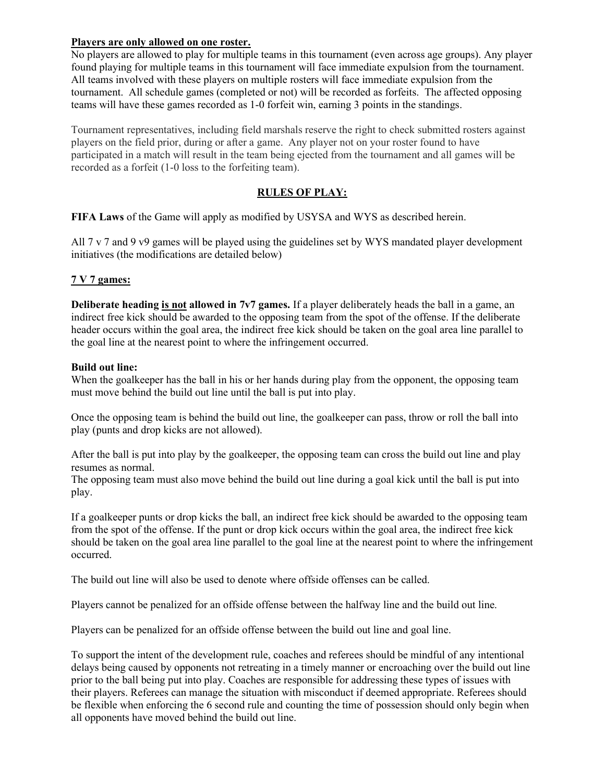## Players are only allowed on one roster.

No players are allowed to play for multiple teams in this tournament (even across age groups). Any player found playing for multiple teams in this tournament will face immediate expulsion from the tournament. All teams involved with these players on multiple rosters will face immediate expulsion from the tournament. All schedule games (completed or not) will be recorded as forfeits. The affected opposing teams will have these games recorded as 1-0 forfeit win, earning 3 points in the standings.

Tournament representatives, including field marshals reserve the right to check submitted rosters against players on the field prior, during or after a game. Any player not on your roster found to have participated in a match will result in the team being ejected from the tournament and all games will be recorded as a forfeit (1-0 loss to the forfeiting team).

# RULES OF PLAY:

FIFA Laws of the Game will apply as modified by USYSA and WYS as described herein.

All 7 v 7 and 9 v9 games will be played using the guidelines set by WYS mandated player development initiatives (the modifications are detailed below)

# 7 V 7 games:

Deliberate heading is not allowed in 7v7 games. If a player deliberately heads the ball in a game, an indirect free kick should be awarded to the opposing team from the spot of the offense. If the deliberate header occurs within the goal area, the indirect free kick should be taken on the goal area line parallel to the goal line at the nearest point to where the infringement occurred.

#### Build out line:

When the goalkeeper has the ball in his or her hands during play from the opponent, the opposing team must move behind the build out line until the ball is put into play.

Once the opposing team is behind the build out line, the goalkeeper can pass, throw or roll the ball into play (punts and drop kicks are not allowed).

After the ball is put into play by the goalkeeper, the opposing team can cross the build out line and play resumes as normal.

The opposing team must also move behind the build out line during a goal kick until the ball is put into play.

If a goalkeeper punts or drop kicks the ball, an indirect free kick should be awarded to the opposing team from the spot of the offense. If the punt or drop kick occurs within the goal area, the indirect free kick should be taken on the goal area line parallel to the goal line at the nearest point to where the infringement occurred.

The build out line will also be used to denote where offside offenses can be called.

Players cannot be penalized for an offside offense between the halfway line and the build out line.

Players can be penalized for an offside offense between the build out line and goal line.

To support the intent of the development rule, coaches and referees should be mindful of any intentional delays being caused by opponents not retreating in a timely manner or encroaching over the build out line prior to the ball being put into play. Coaches are responsible for addressing these types of issues with their players. Referees can manage the situation with misconduct if deemed appropriate. Referees should be flexible when enforcing the 6 second rule and counting the time of possession should only begin when all opponents have moved behind the build out line.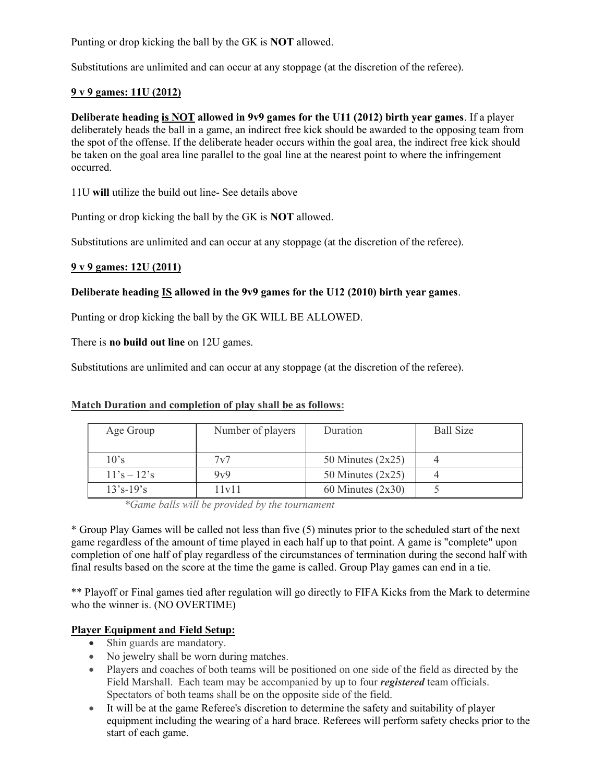Punting or drop kicking the ball by the GK is NOT allowed.

Substitutions are unlimited and can occur at any stoppage (at the discretion of the referee).

### 9 v 9 games: 11U (2012)

Deliberate heading is NOT allowed in 9v9 games for the U11 (2012) birth year games. If a player deliberately heads the ball in a game, an indirect free kick should be awarded to the opposing team from the spot of the offense. If the deliberate header occurs within the goal area, the indirect free kick should be taken on the goal area line parallel to the goal line at the nearest point to where the infringement occurred.

11U will utilize the build out line- See details above

Punting or drop kicking the ball by the GK is NOT allowed.

Substitutions are unlimited and can occur at any stoppage (at the discretion of the referee).

#### 9 v 9 games: 12U (2011)

#### Deliberate heading IS allowed in the 9v9 games for the U12 (2010) birth year games.

Punting or drop kicking the ball by the GK WILL BE ALLOWED.

There is **no build out line** on 12U games.

Substitutions are unlimited and can occur at any stoppage (at the discretion of the referee).

#### Match Duration and completion of play shall be as follows:

| Age Group     | Number of players | Duration            | <b>Ball Size</b> |
|---------------|-------------------|---------------------|------------------|
| 10's          | 7v7               | 50 Minutes $(2x25)$ |                  |
| $11's - 12's$ | 9v9               | 50 Minutes $(2x25)$ |                  |
| $13's - 19's$ | 11v11             | 60 Minutes $(2x30)$ |                  |

\*Game balls will be provided by the tournament

\* Group Play Games will be called not less than five (5) minutes prior to the scheduled start of the next game regardless of the amount of time played in each half up to that point. A game is "complete" upon completion of one half of play regardless of the circumstances of termination during the second half with final results based on the score at the time the game is called. Group Play games can end in a tie.

\*\* Playoff or Final games tied after regulation will go directly to FIFA Kicks from the Mark to determine who the winner is. (NO OVERTIME)

# Player Equipment and Field Setup:

- Shin guards are mandatory.
- No jewelry shall be worn during matches.
- Players and coaches of both teams will be positioned on one side of the field as directed by the Field Marshall. Each team may be accompanied by up to four *registered* team officials. Spectators of both teams shall be on the opposite side of the field.
- It will be at the game Referee's discretion to determine the safety and suitability of player equipment including the wearing of a hard brace. Referees will perform safety checks prior to the start of each game.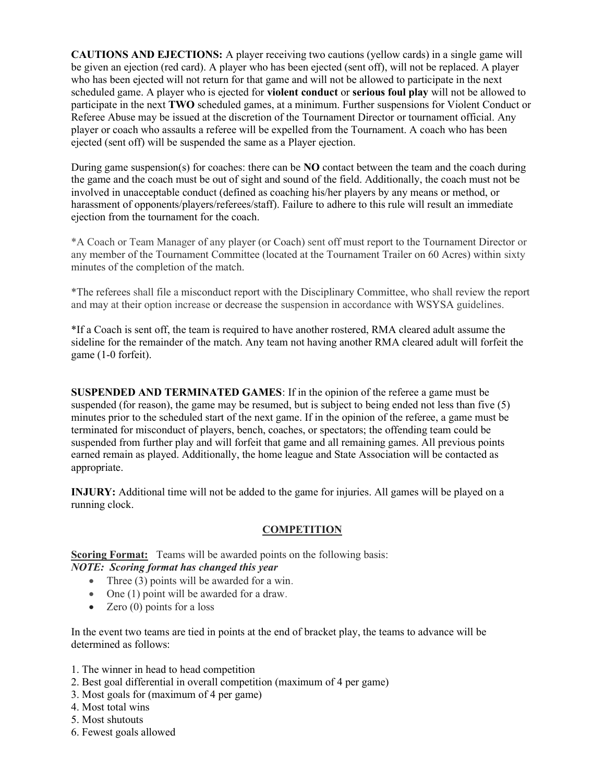CAUTIONS AND EJECTIONS: A player receiving two cautions (yellow cards) in a single game will be given an ejection (red card). A player who has been ejected (sent off), will not be replaced. A player who has been ejected will not return for that game and will not be allowed to participate in the next scheduled game. A player who is ejected for violent conduct or serious foul play will not be allowed to participate in the next TWO scheduled games, at a minimum. Further suspensions for Violent Conduct or Referee Abuse may be issued at the discretion of the Tournament Director or tournament official. Any player or coach who assaults a referee will be expelled from the Tournament. A coach who has been ejected (sent off) will be suspended the same as a Player ejection.

During game suspension(s) for coaches: there can be **NO** contact between the team and the coach during the game and the coach must be out of sight and sound of the field. Additionally, the coach must not be involved in unacceptable conduct (defined as coaching his/her players by any means or method, or harassment of opponents/players/referees/staff). Failure to adhere to this rule will result an immediate ejection from the tournament for the coach.

\*A Coach or Team Manager of any player (or Coach) sent off must report to the Tournament Director or any member of the Tournament Committee (located at the Tournament Trailer on 60 Acres) within sixty minutes of the completion of the match.

\*The referees shall file a misconduct report with the Disciplinary Committee, who shall review the report and may at their option increase or decrease the suspension in accordance with WSYSA guidelines.

\*If a Coach is sent off, the team is required to have another rostered, RMA cleared adult assume the sideline for the remainder of the match. Any team not having another RMA cleared adult will forfeit the game (1-0 forfeit).

SUSPENDED AND TERMINATED GAMES: If in the opinion of the referee a game must be suspended (for reason), the game may be resumed, but is subject to being ended not less than five (5) minutes prior to the scheduled start of the next game. If in the opinion of the referee, a game must be terminated for misconduct of players, bench, coaches, or spectators; the offending team could be suspended from further play and will forfeit that game and all remaining games. All previous points earned remain as played. Additionally, the home league and State Association will be contacted as appropriate.

INJURY: Additional time will not be added to the game for injuries. All games will be played on a running clock.

#### **COMPETITION**

Scoring Format: Teams will be awarded points on the following basis:

# NOTE: Scoring format has changed this year

- Three (3) points will be awarded for a win.
- One (1) point will be awarded for a draw.
- Zero  $(0)$  points for a loss

In the event two teams are tied in points at the end of bracket play, the teams to advance will be determined as follows:

- 1. The winner in head to head competition
- 2. Best goal differential in overall competition (maximum of 4 per game)
- 3. Most goals for (maximum of 4 per game)
- 4. Most total wins
- 5. Most shutouts
- 6. Fewest goals allowed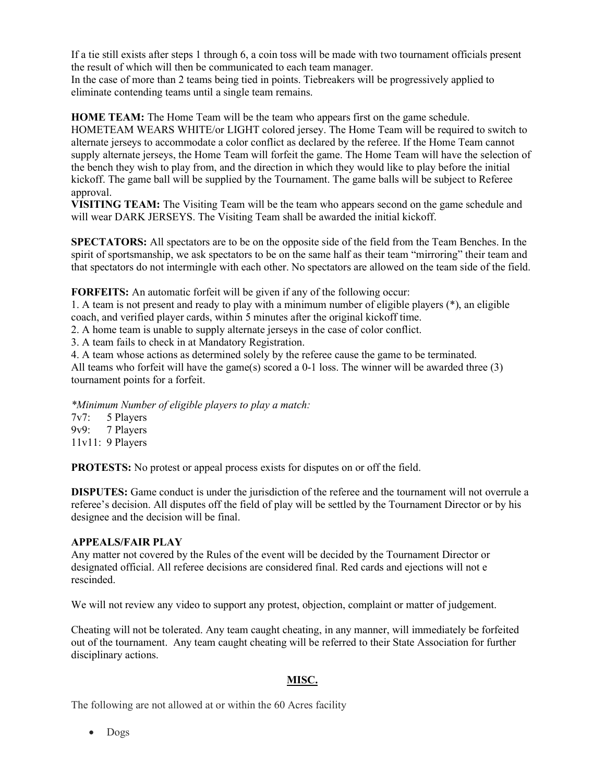If a tie still exists after steps 1 through 6, a coin toss will be made with two tournament officials present the result of which will then be communicated to each team manager.

In the case of more than 2 teams being tied in points. Tiebreakers will be progressively applied to eliminate contending teams until a single team remains.

HOME TEAM: The Home Team will be the team who appears first on the game schedule. HOMETEAM WEARS WHITE/or LIGHT colored jersey. The Home Team will be required to switch to alternate jerseys to accommodate a color conflict as declared by the referee. If the Home Team cannot supply alternate jerseys, the Home Team will forfeit the game. The Home Team will have the selection of the bench they wish to play from, and the direction in which they would like to play before the initial kickoff. The game ball will be supplied by the Tournament. The game balls will be subject to Referee approval.

VISITING TEAM: The Visiting Team will be the team who appears second on the game schedule and will wear DARK JERSEYS. The Visiting Team shall be awarded the initial kickoff.

SPECTATORS: All spectators are to be on the opposite side of the field from the Team Benches. In the spirit of sportsmanship, we ask spectators to be on the same half as their team "mirroring" their team and that spectators do not intermingle with each other. No spectators are allowed on the team side of the field.

FORFEITS: An automatic forfeit will be given if any of the following occur:

1. A team is not present and ready to play with a minimum number of eligible players (\*), an eligible coach, and verified player cards, within 5 minutes after the original kickoff time.

2. A home team is unable to supply alternate jerseys in the case of color conflict.

3. A team fails to check in at Mandatory Registration.

4. A team whose actions as determined solely by the referee cause the game to be terminated.

All teams who forfeit will have the game(s) scored a 0-1 loss. The winner will be awarded three (3) tournament points for a forfeit.

\*Minimum Number of eligible players to play a match:

7v7: 5 Players 9v9: 7 Players 11v11: 9 Players

PROTESTS: No protest or appeal process exists for disputes on or off the field.

DISPUTES: Game conduct is under the jurisdiction of the referee and the tournament will not overrule a referee's decision. All disputes off the field of play will be settled by the Tournament Director or by his designee and the decision will be final.

#### APPEALS/FAIR PLAY

Any matter not covered by the Rules of the event will be decided by the Tournament Director or designated official. All referee decisions are considered final. Red cards and ejections will not e rescinded.

We will not review any video to support any protest, objection, complaint or matter of judgement.

Cheating will not be tolerated. Any team caught cheating, in any manner, will immediately be forfeited out of the tournament. Any team caught cheating will be referred to their State Association for further disciplinary actions.

#### MISC.

The following are not allowed at or within the 60 Acres facility

• Dogs